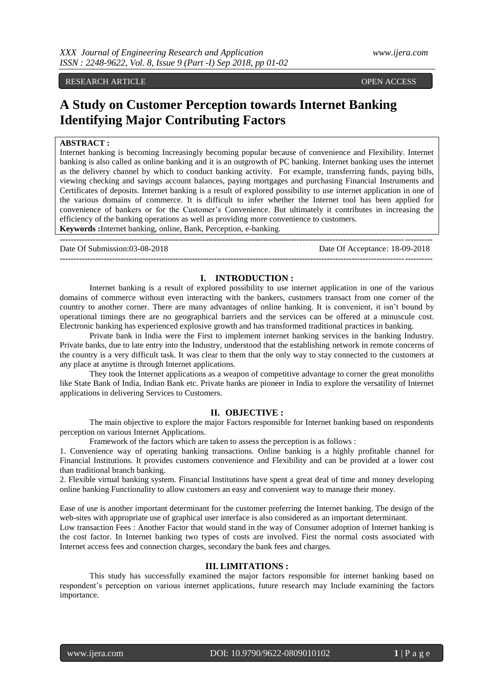#### RESEARCH ARTICLE **CONTRACT ARTICLE**

# **A Study on Customer Perception towards Internet Banking Identifying Major Contributing Factors**

## **ABSTRACT :**

Internet banking is becoming Increasingly becoming popular because of convenience and Flexibility. Internet banking is also called as online banking and it is an outgrowth of PC banking. Internet banking uses the internet as the delivery channel by which to conduct banking activity. For example, transferring funds, paying bills, viewing checking and savings account balances, paying mortgages and purchasing Financial Instruments and Certificates of deposits. Internet banking is a result of explored possibility to use internet application in one of the various domains of commerce. It is difficult to infer whether the Internet tool has been applied for convenience of bankers or for the Customer's Convenience. But ultimately it contributes in increasing the efficiency of the banking operations as well as providing more convenience to customers. **Keywords :**Internet banking, online, Bank, Perception, e-banking.

**---------------------------------------------------------------------------------------------------------------------------------------** Date Of Submission:03-08-2018 Date Of Acceptance: 18-09-2018 **---------------------------------------------------------------------------------------------------------------------------------------**

#### **I. INTRODUCTION :**

Internet banking is a result of explored possibility to use internet application in one of the various domains of commerce without even interacting with the bankers, customers transact from one corner of the country to another corner. There are many advantages of online banking. It is convenient, it isn't bound by operational timings there are no geographical barriers and the services can be offered at a minuscule cost. Electronic banking has experienced explosive growth and has transformed traditional practices in banking.

Private bank in India were the First to implement internet banking services in the banking Industry. Private banks, due to late entry into the Industry, understood that the establishing network in remote concerns of the country is a very difficult task. It was clear to them that the only way to stay connected to the customers at any place at anytime is through Internet applications.

They took the Internet applications as a weapon of competitive advantage to corner the great monoliths like State Bank of India, Indian Bank etc. Private banks are pioneer in India to explore the versatility of Internet applications in delivering Services to Customers.

# **II. OBJECTIVE :**

The main objective to explore the major Factors responsible for Internet banking based on respondents perception on various Internet Applications.

Framework of the factors which are taken to assess the perception is as follows :

1. Convenience way of operating banking transactions. Online banking is a highly profitable channel for Financial Institutions. It provides customers convenience and Flexibility and can be provided at a lower cost than traditional branch banking.

2. Flexible virtual banking system. Financial Institutions have spent a great deal of time and money developing online banking Functionality to allow customers an easy and convenient way to manage their money.

Ease of use is another important determinant for the customer preferring the Internet banking. The design of the web-sites with appropriate use of graphical user interface is also considered as an important determinant.

Low transaction Fees : Another Factor that would stand in the way of Consumer adoption of Internet banking is the cost factor. In Internet banking two types of costs are involved. First the normal costs associated with Internet access fees and connection charges, secondary the bank fees and charges.

### **III. LIMITATIONS :**

This study has successfully examined the major factors responsible for internet banking based on respondent's perception on various internet applications, future research may Include examining the factors importance.